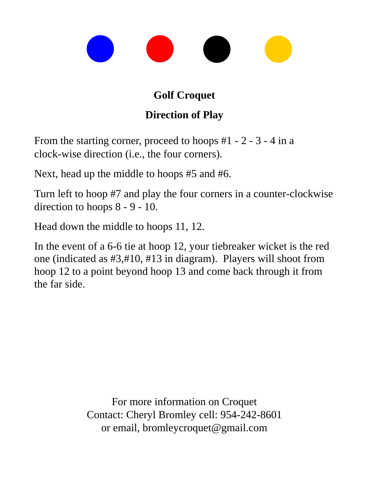## **Golf Croquet**

## **Direction of Play**

From the starting corner, proceed to hoops #1 - 2 - 3 - 4 in a clock-wise direction (i.e., the four corners).

Next, head up the middle to hoops #5 and #6.

Turn left to hoop #7 and play the four corners in a counter-clockwise direction to hoops 8 - 9 - 10.

Head down the middle to hoops 11, 12.

In the event of a 6-6 tie at hoop 12, your tiebreaker wicket is the red one (indicated as #3,#10, #13 in diagram). Players will shoot from hoop 12 to a point beyond hoop 13 and come back through it from the far side.

> For more information on Croquet Contact: Cheryl Bromley cell: 954-242-8601 or email, bromleycroquet@gmail.com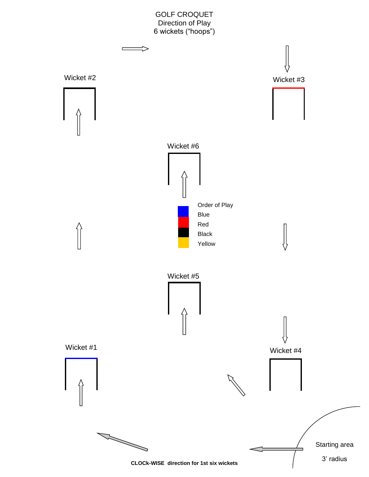